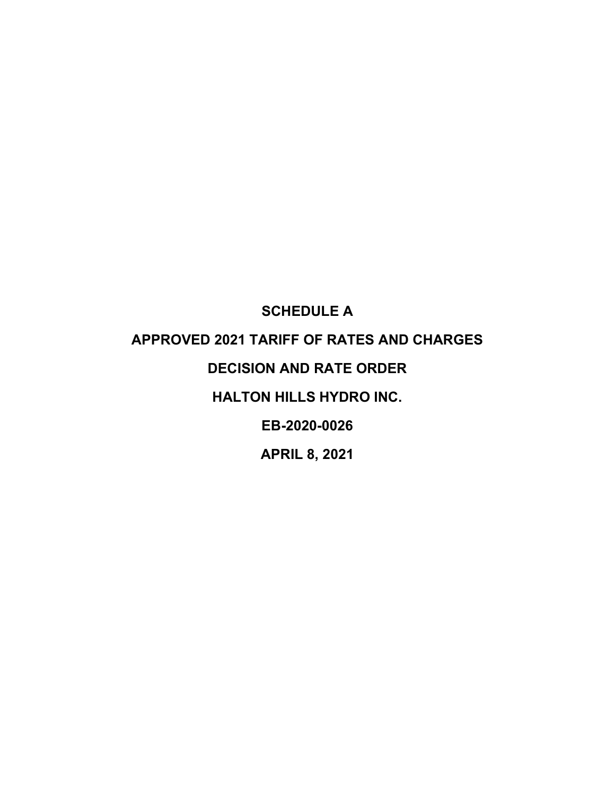# **SCHEDULE A APPROVED 2021 TARIFF OF RATES AND CHARGES DECISION AND RATE ORDER HALTON HILLS HYDRO INC. EB-2020-0026 APRIL 8, 2021**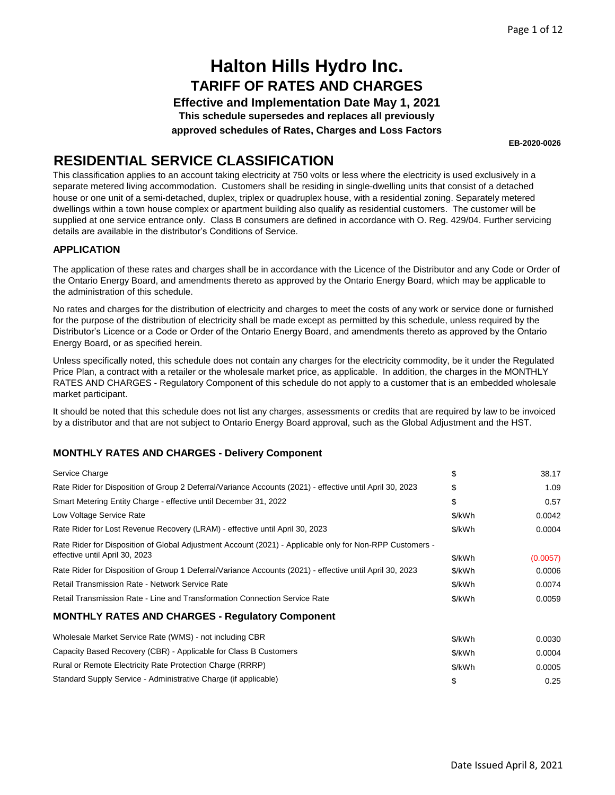**Effective and Implementation Date May 1, 2021 This schedule supersedes and replaces all previously**

**approved schedules of Rates, Charges and Loss Factors**

**EB-2020-0026**

### **RESIDENTIAL SERVICE CLASSIFICATION**

This classification applies to an account taking electricity at 750 volts or less where the electricity is used exclusively in a separate metered living accommodation. Customers shall be residing in single-dwelling units that consist of a detached house or one unit of a semi-detached, duplex, triplex or quadruplex house, with a residential zoning. Separately metered dwellings within a town house complex or apartment building also qualify as residential customers. The customer will be supplied at one service entrance only. Class B consumers are defined in accordance with O. Reg. 429/04. Further servicing details are available in the distributor's Conditions of Service.

#### **APPLICATION**

The application of these rates and charges shall be in accordance with the Licence of the Distributor and any Code or Order of the Ontario Energy Board, and amendments thereto as approved by the Ontario Energy Board, which may be applicable to the administration of this schedule.

No rates and charges for the distribution of electricity and charges to meet the costs of any work or service done or furnished for the purpose of the distribution of electricity shall be made except as permitted by this schedule, unless required by the Distributor's Licence or a Code or Order of the Ontario Energy Board, and amendments thereto as approved by the Ontario Energy Board, or as specified herein.

Unless specifically noted, this schedule does not contain any charges for the electricity commodity, be it under the Regulated Price Plan, a contract with a retailer or the wholesale market price, as applicable. In addition, the charges in the MONTHLY RATES AND CHARGES - Regulatory Component of this schedule do not apply to a customer that is an embedded wholesale market participant.

It should be noted that this schedule does not list any charges, assessments or credits that are required by law to be invoiced by a distributor and that are not subject to Ontario Energy Board approval, such as the Global Adjustment and the HST.

| Service Charge                                                                                           | \$     | 38.17    |
|----------------------------------------------------------------------------------------------------------|--------|----------|
| Rate Rider for Disposition of Group 2 Deferral/Variance Accounts (2021) - effective until April 30, 2023 | \$     | 1.09     |
| Smart Metering Entity Charge - effective until December 31, 2022                                         | \$     | 0.57     |
| Low Voltage Service Rate                                                                                 | \$/kWh | 0.0042   |
| Rate Rider for Lost Revenue Recovery (LRAM) - effective until April 30, 2023                             | \$/kWh | 0.0004   |
| Rate Rider for Disposition of Global Adjustment Account (2021) - Applicable only for Non-RPP Customers - |        |          |
| effective until April 30, 2023                                                                           | \$/kWh | (0.0057) |
| Rate Rider for Disposition of Group 1 Deferral/Variance Accounts (2021) - effective until April 30, 2023 | \$/kWh | 0.0006   |
| <b>Retail Transmission Rate - Network Service Rate</b>                                                   | \$/kWh | 0.0074   |
| Retail Transmission Rate - Line and Transformation Connection Service Rate                               | \$/kWh | 0.0059   |
| <b>MONTHLY RATES AND CHARGES - Regulatory Component</b>                                                  |        |          |
| Wholesale Market Service Rate (WMS) - not including CBR                                                  | \$/kWh | 0.0030   |

| <u>WITOROGIC MIGHTOL OCH WOO TTALO (WWW.O) THOL INDIAGING</u>    | <b>JYKVVN</b> | <u>U.UUJU</u> |
|------------------------------------------------------------------|---------------|---------------|
| Capacity Based Recovery (CBR) - Applicable for Class B Customers | \$/kWh        | 0.0004        |
| Rural or Remote Electricity Rate Protection Charge (RRRP)        | \$/kWh        | 0.0005        |
| Standard Supply Service - Administrative Charge (if applicable)  |               | 0.25          |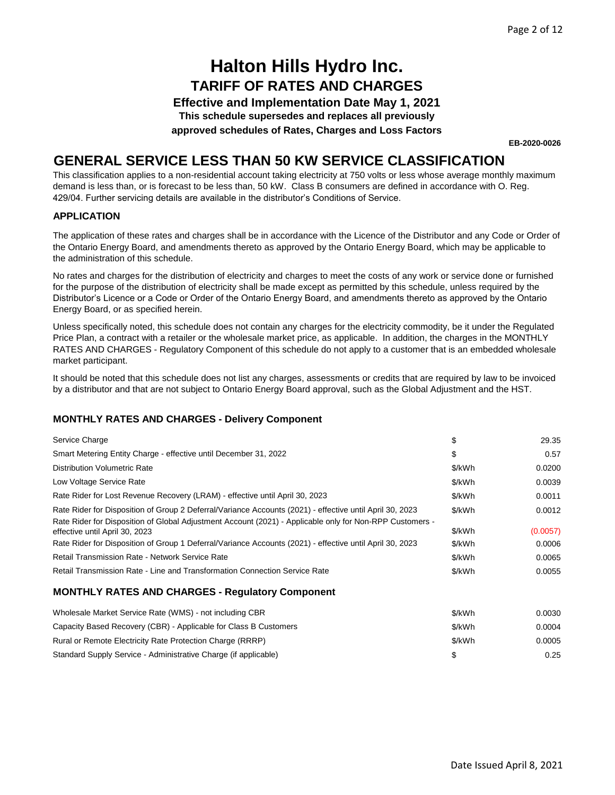**Effective and Implementation Date May 1, 2021**

**This schedule supersedes and replaces all previously**

**approved schedules of Rates, Charges and Loss Factors**

**EB-2020-0026**

### **GENERAL SERVICE LESS THAN 50 KW SERVICE CLASSIFICATION**

This classification applies to a non-residential account taking electricity at 750 volts or less whose average monthly maximum demand is less than, or is forecast to be less than, 50 kW. Class B consumers are defined in accordance with O. Reg. 429/04. Further servicing details are available in the distributor's Conditions of Service.

#### **APPLICATION**

The application of these rates and charges shall be in accordance with the Licence of the Distributor and any Code or Order of the Ontario Energy Board, and amendments thereto as approved by the Ontario Energy Board, which may be applicable to the administration of this schedule.

No rates and charges for the distribution of electricity and charges to meet the costs of any work or service done or furnished for the purpose of the distribution of electricity shall be made except as permitted by this schedule, unless required by the Distributor's Licence or a Code or Order of the Ontario Energy Board, and amendments thereto as approved by the Ontario Energy Board, or as specified herein.

Unless specifically noted, this schedule does not contain any charges for the electricity commodity, be it under the Regulated Price Plan, a contract with a retailer or the wholesale market price, as applicable. In addition, the charges in the MONTHLY RATES AND CHARGES - Regulatory Component of this schedule do not apply to a customer that is an embedded wholesale market participant.

It should be noted that this schedule does not list any charges, assessments or credits that are required by law to be invoiced by a distributor and that are not subject to Ontario Energy Board approval, such as the Global Adjustment and the HST.

| Service Charge                                                                                                                                                                                                                                         | \$               | 29.35              |
|--------------------------------------------------------------------------------------------------------------------------------------------------------------------------------------------------------------------------------------------------------|------------------|--------------------|
| Smart Metering Entity Charge - effective until December 31, 2022                                                                                                                                                                                       | \$               | 0.57               |
| Distribution Volumetric Rate                                                                                                                                                                                                                           | \$/kWh           | 0.0200             |
| Low Voltage Service Rate                                                                                                                                                                                                                               | \$/kWh           | 0.0039             |
| Rate Rider for Lost Revenue Recovery (LRAM) - effective until April 30, 2023                                                                                                                                                                           | \$/kWh           | 0.0011             |
| Rate Rider for Disposition of Group 2 Deferral/Variance Accounts (2021) - effective until April 30, 2023                                                                                                                                               | \$/kWh           | 0.0012             |
| Rate Rider for Disposition of Global Adjustment Account (2021) - Applicable only for Non-RPP Customers -<br>effective until April 30, 2023<br>Rate Rider for Disposition of Group 1 Deferral/Variance Accounts (2021) - effective until April 30, 2023 | \$/kWh<br>\$/kWh | (0.0057)<br>0.0006 |
| Retail Transmission Rate - Network Service Rate                                                                                                                                                                                                        | \$/kWh           | 0.0065             |
| Retail Transmission Rate - Line and Transformation Connection Service Rate                                                                                                                                                                             | \$/kWh           | 0.0055             |
| <b>MONTHLY RATES AND CHARGES - Regulatory Component</b>                                                                                                                                                                                                |                  |                    |

| Wholesale Market Service Rate (WMS) - not including CBR          | \$/kWh | 0.0030 |
|------------------------------------------------------------------|--------|--------|
| Capacity Based Recovery (CBR) - Applicable for Class B Customers | \$/kWh | 0.0004 |
| Rural or Remote Electricity Rate Protection Charge (RRRP)        | \$/kWh | 0.0005 |
| Standard Supply Service - Administrative Charge (if applicable)  |        | 0.25   |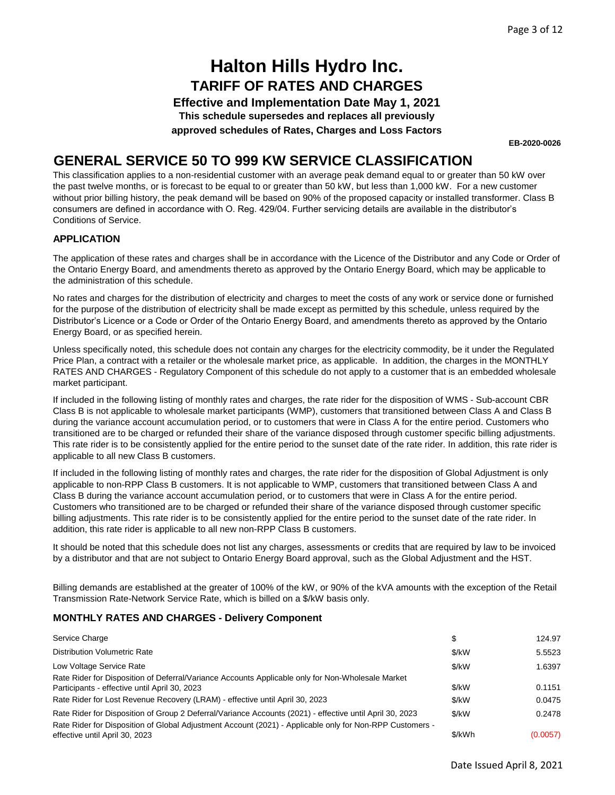**Effective and Implementation Date May 1, 2021**

**This schedule supersedes and replaces all previously**

**approved schedules of Rates, Charges and Loss Factors**

**EB-2020-0026**

### **GENERAL SERVICE 50 TO 999 KW SERVICE CLASSIFICATION**

This classification applies to a non-residential customer with an average peak demand equal to or greater than 50 kW over the past twelve months, or is forecast to be equal to or greater than 50 kW, but less than 1,000 kW. For a new customer without prior billing history, the peak demand will be based on 90% of the proposed capacity or installed transformer. Class B consumers are defined in accordance with O. Reg. 429/04. Further servicing details are available in the distributor's Conditions of Service.

#### **APPLICATION**

The application of these rates and charges shall be in accordance with the Licence of the Distributor and any Code or Order of the Ontario Energy Board, and amendments thereto as approved by the Ontario Energy Board, which may be applicable to the administration of this schedule.

No rates and charges for the distribution of electricity and charges to meet the costs of any work or service done or furnished for the purpose of the distribution of electricity shall be made except as permitted by this schedule, unless required by the Distributor's Licence or a Code or Order of the Ontario Energy Board, and amendments thereto as approved by the Ontario Energy Board, or as specified herein.

Unless specifically noted, this schedule does not contain any charges for the electricity commodity, be it under the Regulated Price Plan, a contract with a retailer or the wholesale market price, as applicable. In addition, the charges in the MONTHLY RATES AND CHARGES - Regulatory Component of this schedule do not apply to a customer that is an embedded wholesale market participant.

If included in the following listing of monthly rates and charges, the rate rider for the disposition of WMS - Sub-account CBR Class B is not applicable to wholesale market participants (WMP), customers that transitioned between Class A and Class B during the variance account accumulation period, or to customers that were in Class A for the entire period. Customers who transitioned are to be charged or refunded their share of the variance disposed through customer specific billing adjustments. This rate rider is to be consistently applied for the entire period to the sunset date of the rate rider. In addition, this rate rider is applicable to all new Class B customers.

If included in the following listing of monthly rates and charges, the rate rider for the disposition of Global Adjustment is only applicable to non-RPP Class B customers. It is not applicable to WMP, customers that transitioned between Class A and Class B during the variance account accumulation period, or to customers that were in Class A for the entire period. Customers who transitioned are to be charged or refunded their share of the variance disposed through customer specific billing adjustments. This rate rider is to be consistently applied for the entire period to the sunset date of the rate rider. In addition, this rate rider is applicable to all new non-RPP Class B customers.

It should be noted that this schedule does not list any charges, assessments or credits that are required by law to be invoiced by a distributor and that are not subject to Ontario Energy Board approval, such as the Global Adjustment and the HST.

Billing demands are established at the greater of 100% of the kW, or 90% of the kVA amounts with the exception of the Retail Transmission Rate-Network Service Rate, which is billed on a \$/kW basis only.

| Service Charge                                                                                           | S       | 124.97   |
|----------------------------------------------------------------------------------------------------------|---------|----------|
| <b>Distribution Volumetric Rate</b>                                                                      | \$/kW   | 5.5523   |
| Low Voltage Service Rate                                                                                 | \$/kW   | 1.6397   |
| Rate Rider for Disposition of Deferral/Variance Accounts Applicable only for Non-Wholesale Market        |         |          |
| Participants - effective until April 30, 2023                                                            | \$/kW   | 0.1151   |
| Rate Rider for Lost Revenue Recovery (LRAM) - effective until April 30, 2023                             | \$/kW   | 0.0475   |
| Rate Rider for Disposition of Group 2 Deferral/Variance Accounts (2021) - effective until April 30, 2023 | $$$ /kW | 0.2478   |
| Rate Rider for Disposition of Global Adjustment Account (2021) - Applicable only for Non-RPP Customers - |         |          |
| effective until April 30, 2023                                                                           | \$/kWh  | (0.0057) |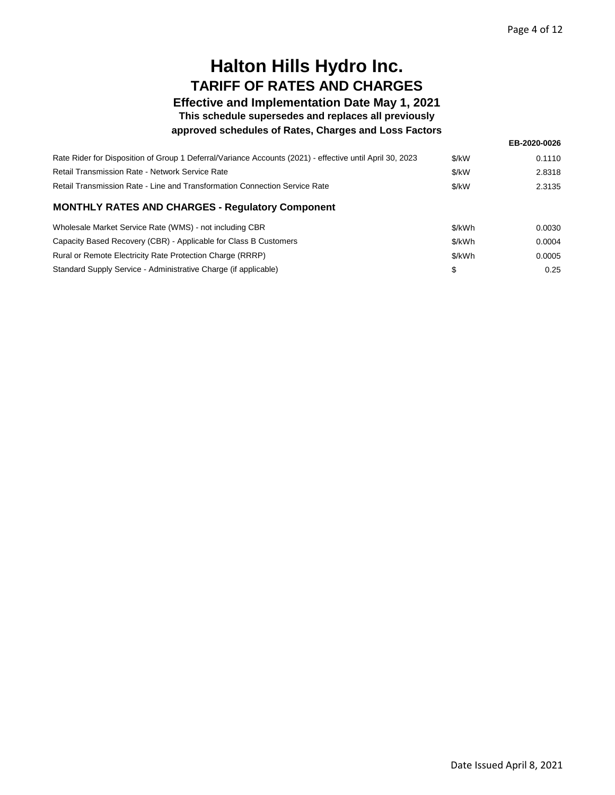**EB-2020-0026**

## **Halton Hills Hydro Inc. TARIFF OF RATES AND CHARGES**

### **Effective and Implementation Date May 1, 2021**

**This schedule supersedes and replaces all previously**

#### **approved schedules of Rates, Charges and Loss Factors**

| Rate Rider for Disposition of Group 1 Deferral/Variance Accounts (2021) - effective until April 30, 2023 | \$/kW  | 0.1110 |
|----------------------------------------------------------------------------------------------------------|--------|--------|
| Retail Transmission Rate - Network Service Rate                                                          | \$/kW  | 2.8318 |
| Retail Transmission Rate - Line and Transformation Connection Service Rate                               | \$/kW  | 2.3135 |
| <b>MONTHLY RATES AND CHARGES - Regulatory Component</b>                                                  |        |        |
| Wholesale Market Service Rate (WMS) - not including CBR                                                  | \$/kWh | 0.0030 |
| Capacity Based Recovery (CBR) - Applicable for Class B Customers                                         | \$/kWh | 0.0004 |
| Rural or Remote Electricity Rate Protection Charge (RRRP)                                                | \$/kWh | 0.0005 |
| Standard Supply Service - Administrative Charge (if applicable)                                          | \$     | 0.25   |
|                                                                                                          |        |        |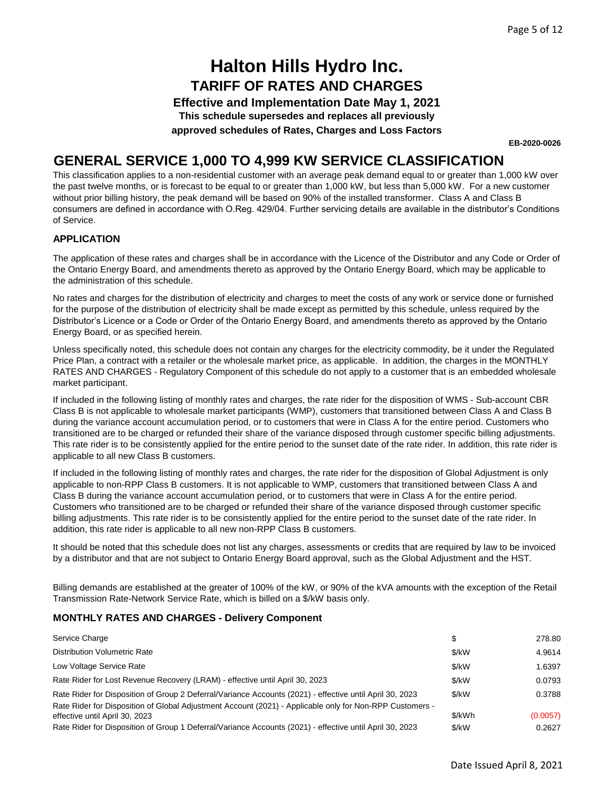**Effective and Implementation Date May 1, 2021**

**This schedule supersedes and replaces all previously**

**approved schedules of Rates, Charges and Loss Factors**

**EB-2020-0026**

### **GENERAL SERVICE 1,000 TO 4,999 KW SERVICE CLASSIFICATION**

This classification applies to a non-residential customer with an average peak demand equal to or greater than 1,000 kW over the past twelve months, or is forecast to be equal to or greater than 1,000 kW, but less than 5,000 kW. For a new customer without prior billing history, the peak demand will be based on 90% of the installed transformer. Class A and Class B consumers are defined in accordance with O.Reg. 429/04. Further servicing details are available in the distributor's Conditions of Service.

#### **APPLICATION**

The application of these rates and charges shall be in accordance with the Licence of the Distributor and any Code or Order of the Ontario Energy Board, and amendments thereto as approved by the Ontario Energy Board, which may be applicable to the administration of this schedule.

No rates and charges for the distribution of electricity and charges to meet the costs of any work or service done or furnished for the purpose of the distribution of electricity shall be made except as permitted by this schedule, unless required by the Distributor's Licence or a Code or Order of the Ontario Energy Board, and amendments thereto as approved by the Ontario Energy Board, or as specified herein.

Unless specifically noted, this schedule does not contain any charges for the electricity commodity, be it under the Regulated Price Plan, a contract with a retailer or the wholesale market price, as applicable. In addition, the charges in the MONTHLY RATES AND CHARGES - Regulatory Component of this schedule do not apply to a customer that is an embedded wholesale market participant.

If included in the following listing of monthly rates and charges, the rate rider for the disposition of WMS - Sub-account CBR Class B is not applicable to wholesale market participants (WMP), customers that transitioned between Class A and Class B during the variance account accumulation period, or to customers that were in Class A for the entire period. Customers who transitioned are to be charged or refunded their share of the variance disposed through customer specific billing adjustments. This rate rider is to be consistently applied for the entire period to the sunset date of the rate rider. In addition, this rate rider is applicable to all new Class B customers.

If included in the following listing of monthly rates and charges, the rate rider for the disposition of Global Adjustment is only applicable to non-RPP Class B customers. It is not applicable to WMP, customers that transitioned between Class A and Class B during the variance account accumulation period, or to customers that were in Class A for the entire period. Customers who transitioned are to be charged or refunded their share of the variance disposed through customer specific billing adjustments. This rate rider is to be consistently applied for the entire period to the sunset date of the rate rider. In addition, this rate rider is applicable to all new non-RPP Class B customers.

It should be noted that this schedule does not list any charges, assessments or credits that are required by law to be invoiced by a distributor and that are not subject to Ontario Energy Board approval, such as the Global Adjustment and the HST.

Billing demands are established at the greater of 100% of the kW, or 90% of the kVA amounts with the exception of the Retail Transmission Rate-Network Service Rate, which is billed on a \$/kW basis only.

| Service Charge                                                                                                                             | \$     | 278.80   |
|--------------------------------------------------------------------------------------------------------------------------------------------|--------|----------|
| <b>Distribution Volumetric Rate</b>                                                                                                        | \$/kW  | 4.9614   |
| Low Voltage Service Rate                                                                                                                   | \$/kW  | 1.6397   |
| Rate Rider for Lost Revenue Recovery (LRAM) - effective until April 30, 2023                                                               | \$/kW  | 0.0793   |
| Rate Rider for Disposition of Group 2 Deferral/Variance Accounts (2021) - effective until April 30, 2023                                   | \$/kW  | 0.3788   |
| Rate Rider for Disposition of Global Adjustment Account (2021) - Applicable only for Non-RPP Customers -<br>effective until April 30, 2023 | \$/kWh | (0.0057) |
| Rate Rider for Disposition of Group 1 Deferral/Variance Accounts (2021) - effective until April 30, 2023                                   | \$/kW  | 0.2627   |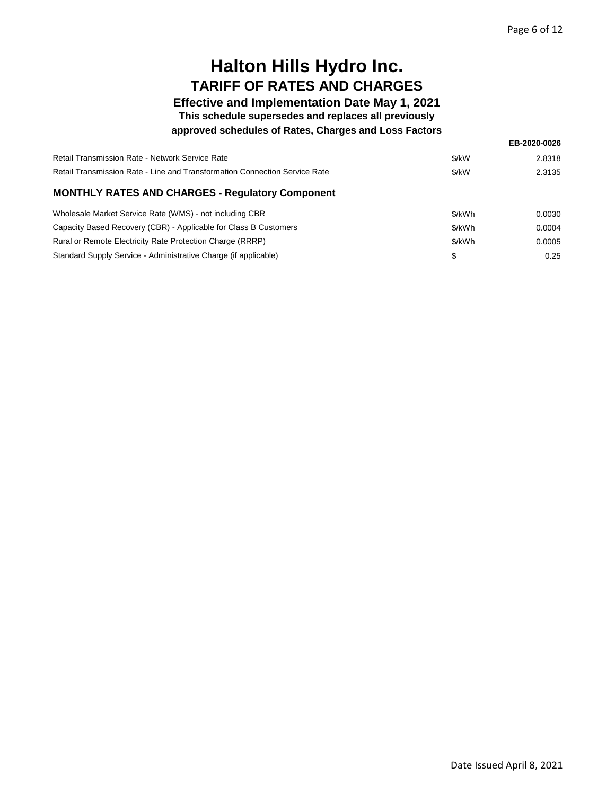### **Effective and Implementation Date May 1, 2021**

**This schedule supersedes and replaces all previously**

#### **approved schedules of Rates, Charges and Loss Factors**

|                                                                            |        | EB-2020-0026 |
|----------------------------------------------------------------------------|--------|--------------|
| Retail Transmission Rate - Network Service Rate                            | \$/kW  | 2.8318       |
| Retail Transmission Rate - Line and Transformation Connection Service Rate | \$/kW  | 2.3135       |
| <b>MONTHLY RATES AND CHARGES - Regulatory Component</b>                    |        |              |
| Wholesale Market Service Rate (WMS) - not including CBR                    | \$/kWh | 0.0030       |
| Capacity Based Recovery (CBR) - Applicable for Class B Customers           | \$/kWh | 0.0004       |
| Rural or Remote Electricity Rate Protection Charge (RRRP)                  | \$/kWh | 0.0005       |
| Standard Supply Service - Administrative Charge (if applicable)            | \$     | 0.25         |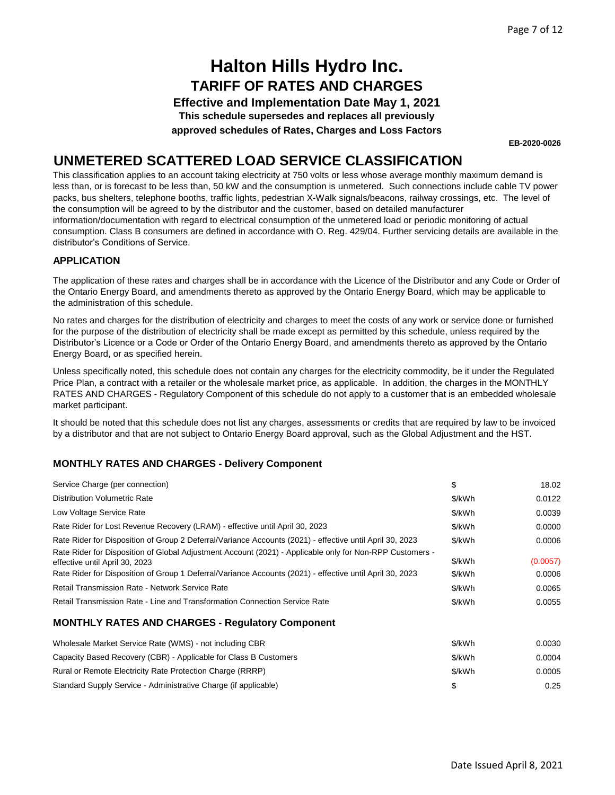**Effective and Implementation Date May 1, 2021**

**This schedule supersedes and replaces all previously**

**approved schedules of Rates, Charges and Loss Factors**

**EB-2020-0026**

### **UNMETERED SCATTERED LOAD SERVICE CLASSIFICATION**

This classification applies to an account taking electricity at 750 volts or less whose average monthly maximum demand is less than, or is forecast to be less than, 50 kW and the consumption is unmetered. Such connections include cable TV power packs, bus shelters, telephone booths, traffic lights, pedestrian X-Walk signals/beacons, railway crossings, etc. The level of the consumption will be agreed to by the distributor and the customer, based on detailed manufacturer information/documentation with regard to electrical consumption of the unmetered load or periodic monitoring of actual consumption. Class B consumers are defined in accordance with O. Reg. 429/04. Further servicing details are available in the distributor's Conditions of Service.

#### **APPLICATION**

The application of these rates and charges shall be in accordance with the Licence of the Distributor and any Code or Order of the Ontario Energy Board, and amendments thereto as approved by the Ontario Energy Board, which may be applicable to the administration of this schedule.

No rates and charges for the distribution of electricity and charges to meet the costs of any work or service done or furnished for the purpose of the distribution of electricity shall be made except as permitted by this schedule, unless required by the Distributor's Licence or a Code or Order of the Ontario Energy Board, and amendments thereto as approved by the Ontario Energy Board, or as specified herein.

Unless specifically noted, this schedule does not contain any charges for the electricity commodity, be it under the Regulated Price Plan, a contract with a retailer or the wholesale market price, as applicable. In addition, the charges in the MONTHLY RATES AND CHARGES - Regulatory Component of this schedule do not apply to a customer that is an embedded wholesale market participant.

It should be noted that this schedule does not list any charges, assessments or credits that are required by law to be invoiced by a distributor and that are not subject to Ontario Energy Board approval, such as the Global Adjustment and the HST.

| Service Charge (per connection)                                                                          | \$     | 18.02    |
|----------------------------------------------------------------------------------------------------------|--------|----------|
| <b>Distribution Volumetric Rate</b>                                                                      | \$/kWh | 0.0122   |
| Low Voltage Service Rate                                                                                 | \$/kWh | 0.0039   |
| Rate Rider for Lost Revenue Recovery (LRAM) - effective until April 30, 2023                             | \$/kWh | 0.0000   |
| Rate Rider for Disposition of Group 2 Deferral/Variance Accounts (2021) - effective until April 30, 2023 | \$/kWh | 0.0006   |
| Rate Rider for Disposition of Global Adjustment Account (2021) - Applicable only for Non-RPP Customers - |        |          |
| effective until April 30, 2023                                                                           | \$/kWh | (0.0057) |
| Rate Rider for Disposition of Group 1 Deferral/Variance Accounts (2021) - effective until April 30, 2023 | \$/kWh | 0.0006   |
| <b>Retail Transmission Rate - Network Service Rate</b>                                                   | \$/kWh | 0.0065   |
| Retail Transmission Rate - Line and Transformation Connection Service Rate                               | \$/kWh | 0.0055   |
| <b>MONTHLY RATES AND CHARGES - Regulatory Component</b>                                                  |        |          |

| Wholesale Market Service Rate (WMS) - not including CBR          | \$/kWh | 0.0030 |
|------------------------------------------------------------------|--------|--------|
| Capacity Based Recovery (CBR) - Applicable for Class B Customers | \$/kWh | 0.0004 |
| Rural or Remote Electricity Rate Protection Charge (RRRP)        | \$/kWh | 0.0005 |
| Standard Supply Service - Administrative Charge (if applicable)  |        | 0.25   |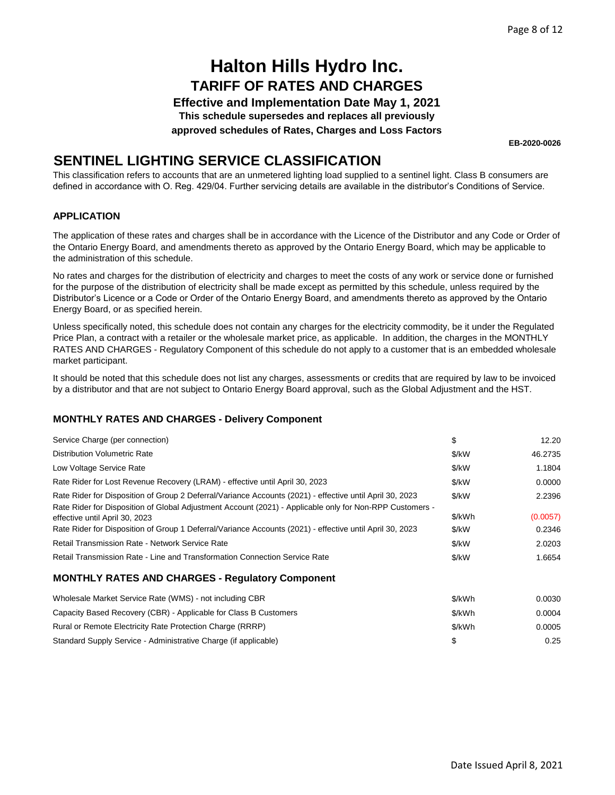**Effective and Implementation Date May 1, 2021**

**This schedule supersedes and replaces all previously**

**approved schedules of Rates, Charges and Loss Factors**

**EB-2020-0026**

### **SENTINEL LIGHTING SERVICE CLASSIFICATION**

This classification refers to accounts that are an unmetered lighting load supplied to a sentinel light. Class B consumers are defined in accordance with O. Reg. 429/04. Further servicing details are available in the distributor's Conditions of Service.

#### **APPLICATION**

The application of these rates and charges shall be in accordance with the Licence of the Distributor and any Code or Order of the Ontario Energy Board, and amendments thereto as approved by the Ontario Energy Board, which may be applicable to the administration of this schedule.

No rates and charges for the distribution of electricity and charges to meet the costs of any work or service done or furnished for the purpose of the distribution of electricity shall be made except as permitted by this schedule, unless required by the Distributor's Licence or a Code or Order of the Ontario Energy Board, and amendments thereto as approved by the Ontario Energy Board, or as specified herein.

Unless specifically noted, this schedule does not contain any charges for the electricity commodity, be it under the Regulated Price Plan, a contract with a retailer or the wholesale market price, as applicable. In addition, the charges in the MONTHLY RATES AND CHARGES - Regulatory Component of this schedule do not apply to a customer that is an embedded wholesale market participant.

It should be noted that this schedule does not list any charges, assessments or credits that are required by law to be invoiced by a distributor and that are not subject to Ontario Energy Board approval, such as the Global Adjustment and the HST.

#### **MONTHLY RATES AND CHARGES - Delivery Component**

| Service Charge (per connection)                                                                                                                                                                                      | \$     | 12.20    |
|----------------------------------------------------------------------------------------------------------------------------------------------------------------------------------------------------------------------|--------|----------|
| <b>Distribution Volumetric Rate</b>                                                                                                                                                                                  | \$/kW  | 46.2735  |
| Low Voltage Service Rate                                                                                                                                                                                             | \$/kW  | 1.1804   |
| Rate Rider for Lost Revenue Recovery (LRAM) - effective until April 30, 2023                                                                                                                                         | \$/kW  | 0.0000   |
| Rate Rider for Disposition of Group 2 Deferral/Variance Accounts (2021) - effective until April 30, 2023<br>Rate Rider for Disposition of Global Adjustment Account (2021) - Applicable only for Non-RPP Customers - | \$/kW  | 2.2396   |
| effective until April 30, 2023                                                                                                                                                                                       | \$/kWh | (0.0057) |
| Rate Rider for Disposition of Group 1 Deferral/Variance Accounts (2021) - effective until April 30, 2023                                                                                                             | \$/kW  | 0.2346   |
| Retail Transmission Rate - Network Service Rate                                                                                                                                                                      | \$/kW  | 2.0203   |
| Retail Transmission Rate - Line and Transformation Connection Service Rate                                                                                                                                           | \$/kW  | 1.6654   |
| <b>MONTHLY RATES AND CHARGES - Regulatory Component</b>                                                                                                                                                              |        |          |
| Wholesale Market Service Rate (WMS) - not including CBR                                                                                                                                                              | \$/kWh | 0.0030   |
| Capacity Based Recovery (CBR) - Applicable for Class B Customers                                                                                                                                                     | \$/kWh | 0.0004   |
| Rural or Remote Electricity Rate Protection Charge (RRRP)                                                                                                                                                            | \$/kWh | 0.0005   |

Standard Supply Service - Administrative Charge (if applicable) \$ 0.25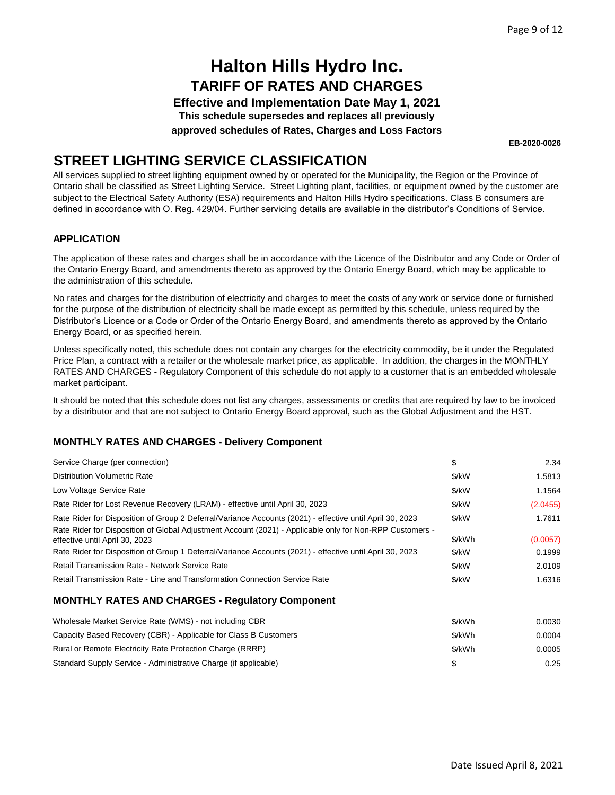**Effective and Implementation Date May 1, 2021 This schedule supersedes and replaces all previously**

**approved schedules of Rates, Charges and Loss Factors**

**EB-2020-0026**

## **STREET LIGHTING SERVICE CLASSIFICATION**

All services supplied to street lighting equipment owned by or operated for the Municipality, the Region or the Province of Ontario shall be classified as Street Lighting Service. Street Lighting plant, facilities, or equipment owned by the customer are subject to the Electrical Safety Authority (ESA) requirements and Halton Hills Hydro specifications. Class B consumers are defined in accordance with O. Reg. 429/04. Further servicing details are available in the distributor's Conditions of Service.

#### **APPLICATION**

The application of these rates and charges shall be in accordance with the Licence of the Distributor and any Code or Order of the Ontario Energy Board, and amendments thereto as approved by the Ontario Energy Board, which may be applicable to the administration of this schedule.

No rates and charges for the distribution of electricity and charges to meet the costs of any work or service done or furnished for the purpose of the distribution of electricity shall be made except as permitted by this schedule, unless required by the Distributor's Licence or a Code or Order of the Ontario Energy Board, and amendments thereto as approved by the Ontario Energy Board, or as specified herein.

Unless specifically noted, this schedule does not contain any charges for the electricity commodity, be it under the Regulated Price Plan, a contract with a retailer or the wholesale market price, as applicable. In addition, the charges in the MONTHLY RATES AND CHARGES - Regulatory Component of this schedule do not apply to a customer that is an embedded wholesale market participant.

It should be noted that this schedule does not list any charges, assessments or credits that are required by law to be invoiced by a distributor and that are not subject to Ontario Energy Board approval, such as the Global Adjustment and the HST.

#### **MONTHLY RATES AND CHARGES - Delivery Component**

| Service Charge (per connection)                                                                                                                                                                                      | \$     | 2.34     |
|----------------------------------------------------------------------------------------------------------------------------------------------------------------------------------------------------------------------|--------|----------|
| <b>Distribution Volumetric Rate</b>                                                                                                                                                                                  | \$/kW  | 1.5813   |
| Low Voltage Service Rate                                                                                                                                                                                             | \$/kW  | 1.1564   |
| Rate Rider for Lost Revenue Recovery (LRAM) - effective until April 30, 2023                                                                                                                                         | \$/kW  | (2.0455) |
| Rate Rider for Disposition of Group 2 Deferral/Variance Accounts (2021) - effective until April 30, 2023<br>Rate Rider for Disposition of Global Adjustment Account (2021) - Applicable only for Non-RPP Customers - | \$/kW  | 1.7611   |
| effective until April 30, 2023                                                                                                                                                                                       | \$/kWh | (0.0057) |
| Rate Rider for Disposition of Group 1 Deferral/Variance Accounts (2021) - effective until April 30, 2023                                                                                                             | \$/kW  | 0.1999   |
| <b>Retail Transmission Rate - Network Service Rate</b>                                                                                                                                                               | \$/kW  | 2.0109   |
| Retail Transmission Rate - Line and Transformation Connection Service Rate                                                                                                                                           | \$/kW  | 1.6316   |
| <b>MONTHLY RATES AND CHARGES - Regulatory Component</b>                                                                                                                                                              |        |          |
| Wholesale Market Service Rate (WMS) - not including CBR                                                                                                                                                              | \$/kWh | 0.0030   |
| Capacity Based Recovery (CBR) - Applicable for Class B Customers                                                                                                                                                     | \$/kWh | 0.0004   |
| Rural or Remote Electricity Rate Protection Charge (RRRP)                                                                                                                                                            | \$/kWh | 0.0005   |

Standard Supply Service - Administrative Charge (if applicable) \$ 0.25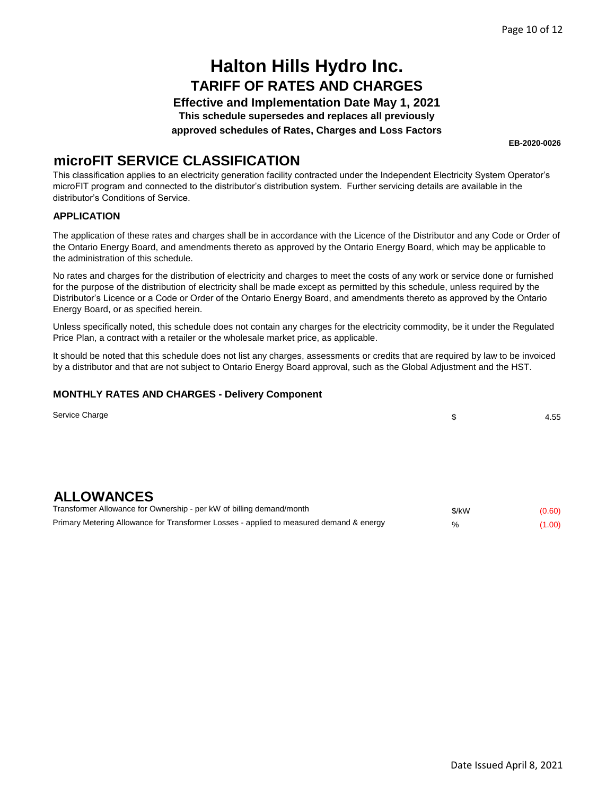**Effective and Implementation Date May 1, 2021**

**This schedule supersedes and replaces all previously**

**approved schedules of Rates, Charges and Loss Factors**

**EB-2020-0026**

### **microFIT SERVICE CLASSIFICATION**

This classification applies to an electricity generation facility contracted under the Independent Electricity System Operator's microFIT program and connected to the distributor's distribution system. Further servicing details are available in the distributor's Conditions of Service.

#### **APPLICATION**

The application of these rates and charges shall be in accordance with the Licence of the Distributor and any Code or Order of the Ontario Energy Board, and amendments thereto as approved by the Ontario Energy Board, which may be applicable to the administration of this schedule.

No rates and charges for the distribution of electricity and charges to meet the costs of any work or service done or furnished for the purpose of the distribution of electricity shall be made except as permitted by this schedule, unless required by the Distributor's Licence or a Code or Order of the Ontario Energy Board, and amendments thereto as approved by the Ontario Energy Board, or as specified herein.

Unless specifically noted, this schedule does not contain any charges for the electricity commodity, be it under the Regulated Price Plan, a contract with a retailer or the wholesale market price, as applicable.

It should be noted that this schedule does not list any charges, assessments or credits that are required by law to be invoiced by a distributor and that are not subject to Ontario Energy Board approval, such as the Global Adjustment and the HST.

| Service Charge                                                                          | \$    | 4.55   |
|-----------------------------------------------------------------------------------------|-------|--------|
|                                                                                         |       |        |
|                                                                                         |       |        |
|                                                                                         |       |        |
| <b>ALLOWANCES</b>                                                                       |       |        |
| Transformer Allowance for Ownership - per kW of billing demand/month                    | \$/kW | (0.60) |
| Primary Metering Allowance for Transformer Losses - applied to measured demand & energy | %     | (1.00) |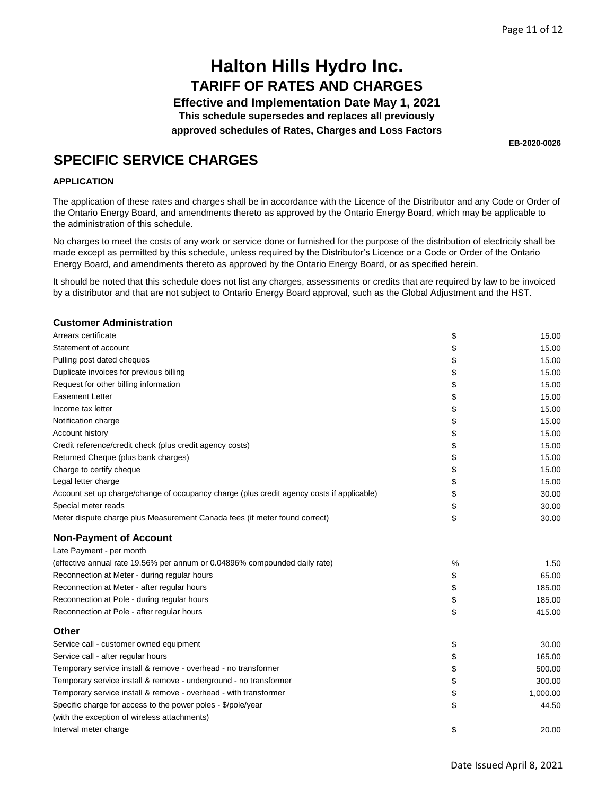**Effective and Implementation Date May 1, 2021 This schedule supersedes and replaces all previously**

**approved schedules of Rates, Charges and Loss Factors**

**EB-2020-0026**

### **SPECIFIC SERVICE CHARGES**

#### **APPLICATION**

The application of these rates and charges shall be in accordance with the Licence of the Distributor and any Code or Order of the Ontario Energy Board, and amendments thereto as approved by the Ontario Energy Board, which may be applicable to the administration of this schedule.

No charges to meet the costs of any work or service done or furnished for the purpose of the distribution of electricity shall be made except as permitted by this schedule, unless required by the Distributor's Licence or a Code or Order of the Ontario Energy Board, and amendments thereto as approved by the Ontario Energy Board, or as specified herein.

It should be noted that this schedule does not list any charges, assessments or credits that are required by law to be invoiced by a distributor and that are not subject to Ontario Energy Board approval, such as the Global Adjustment and the HST.

#### **Customer Administration**

| Arrears certificate                                                                       | \$ | 15.00    |
|-------------------------------------------------------------------------------------------|----|----------|
| Statement of account                                                                      | \$ | 15.00    |
| Pulling post dated cheques                                                                | \$ | 15.00    |
| Duplicate invoices for previous billing                                                   | \$ | 15.00    |
| Request for other billing information                                                     | \$ | 15.00    |
| <b>Easement Letter</b>                                                                    | \$ | 15.00    |
| Income tax letter                                                                         | \$ | 15.00    |
| Notification charge                                                                       | \$ | 15.00    |
| Account history                                                                           | \$ | 15.00    |
| Credit reference/credit check (plus credit agency costs)                                  | \$ | 15.00    |
| Returned Cheque (plus bank charges)                                                       | \$ | 15.00    |
| Charge to certify cheque                                                                  | \$ | 15.00    |
| Legal letter charge                                                                       | \$ | 15.00    |
| Account set up charge/change of occupancy charge (plus credit agency costs if applicable) | \$ | 30.00    |
| Special meter reads                                                                       | \$ | 30.00    |
| Meter dispute charge plus Measurement Canada fees (if meter found correct)                | \$ | 30.00    |
| <b>Non-Payment of Account</b>                                                             |    |          |
| Late Payment - per month                                                                  |    |          |
| (effective annual rate 19.56% per annum or 0.04896% compounded daily rate)                | %  | 1.50     |
| Reconnection at Meter - during regular hours                                              | \$ | 65.00    |
| Reconnection at Meter - after regular hours                                               | \$ | 185.00   |
| Reconnection at Pole - during regular hours                                               | \$ | 185.00   |
| Reconnection at Pole - after regular hours                                                | \$ | 415.00   |
| Other                                                                                     |    |          |
| Service call - customer owned equipment                                                   | \$ | 30.00    |
| Service call - after regular hours                                                        | \$ | 165.00   |
| Temporary service install & remove - overhead - no transformer                            | \$ | 500.00   |
| Temporary service install & remove - underground - no transformer                         | \$ | 300.00   |
| Temporary service install & remove - overhead - with transformer                          | \$ | 1,000.00 |
| Specific charge for access to the power poles - \$/pole/year                              | \$ | 44.50    |
| (with the exception of wireless attachments)                                              |    |          |
| Interval meter charge                                                                     | \$ | 20.00    |